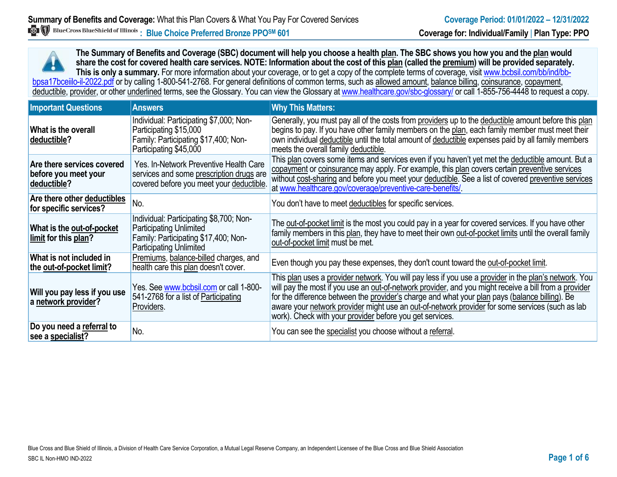**The Summary of Benefits and Coverage (SBC) document will help you choose a health plan. The SBC shows you how you and the plan would share the cost for covered health care services. NOTE: Information about the cost of this plan (called the premium) will be provided separately.** This is only a summary. For more information about your coverage, or to get a copy of the complete terms of coverage, visit www.bcbsil.com/bb/ind/bbbpsa17bceiilo-il-2022.pdf or by calling 1-800-541-2768. For general definitions of common terms, such as allowed amount, balance billing, coinsurance, copayment, deductible, provider, or other underlined terms, see the Glossary. You can view the Glossary a[t www.healthcare.gov/sbc-glossary/](http://www.healthcare.gov/sbc-glossary/) or call 1-855-756-4448 to request a copy.

| <b>Important Questions</b>                                        | <b>Answers</b>                                                                                                                                      | <b>Why This Matters:</b>                                                                                                                                                                                                                                                                                                                                                                                                                                                        |
|-------------------------------------------------------------------|-----------------------------------------------------------------------------------------------------------------------------------------------------|---------------------------------------------------------------------------------------------------------------------------------------------------------------------------------------------------------------------------------------------------------------------------------------------------------------------------------------------------------------------------------------------------------------------------------------------------------------------------------|
| What is the overall<br>deductible?                                | Individual: Participating \$7,000; Non-<br>Participating \$15,000<br>Family: Participating \$17,400; Non-<br>Participating \$45,000                 | Generally, you must pay all of the costs from providers up to the deductible amount before this plan<br>begins to pay. If you have other family members on the plan, each family member must meet their<br>own individual deductible until the total amount of deductible expenses paid by all family members<br>meets the overall family deductible.                                                                                                                           |
| Are there services covered<br>before you meet your<br>deductible? | Yes. In-Network Preventive Health Care<br>services and some prescription drugs are<br>covered before you meet your deductible.                      | This plan covers some items and services even if you haven't yet met the deductible amount. But a<br>copayment or coinsurance may apply. For example, this plan covers certain preventive services<br>without cost-sharing and before you meet your deductible. See a list of covered preventive services<br>at www.healthcare.gov/coverage/preventive-care-benefits/                                                                                                           |
| Are there other deductibles<br>for specific services?             | No.                                                                                                                                                 | You don't have to meet deductibles for specific services.                                                                                                                                                                                                                                                                                                                                                                                                                       |
| What is the out-of-pocket<br>limit for this plan?                 | Individual: Participating \$8,700; Non-<br><b>Participating Unlimited</b><br>Family: Participating \$17,400; Non-<br><b>Participating Unlimited</b> | The out-of-pocket limit is the most you could pay in a year for covered services. If you have other<br>family members in this plan, they have to meet their own out-of-pocket limits until the overall family<br>out-of-pocket limit must be met.                                                                                                                                                                                                                               |
| What is not included in<br>the out-of-pocket limit?               | Premiums, balance-billed charges, and<br>health care this plan doesn't cover.                                                                       | Even though you pay these expenses, they don't count toward the out-of-pocket limit.                                                                                                                                                                                                                                                                                                                                                                                            |
| Will you pay less if you use<br>a network provider?               | Yes. See www.bcbsil.com or call 1-800-<br>541-2768 for a list of Participating<br>Providers.                                                        | This plan uses a provider network. You will pay less if you use a provider in the plan's network. You<br>will pay the most if you use an out-of-network provider, and you might receive a bill from a provider<br>for the difference between the provider's charge and what your plan pays (balance billing). Be<br>aware your network provider might use an out-of-network provider for some services (such as lab<br>work). Check with your provider before you get services. |
| Do you need a referral to<br>see a specialist?                    | No.                                                                                                                                                 | You can see the specialist you choose without a referral.                                                                                                                                                                                                                                                                                                                                                                                                                       |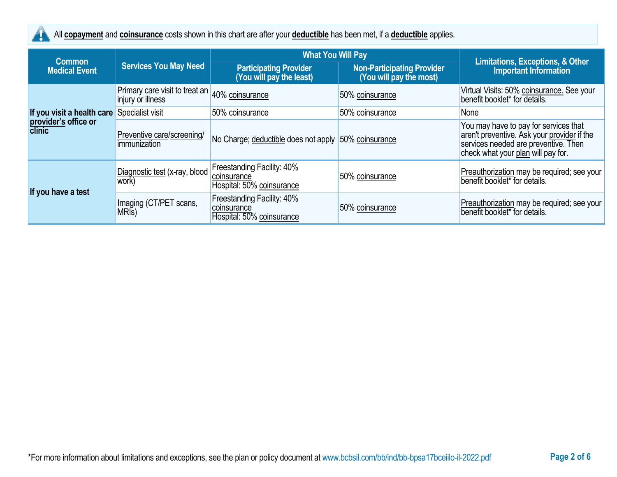

All **copayment** and **coinsurance** costs shown in this chart are after your **deductible** has been met, if a **deductible** applies.

| <b>Common</b>                  |                                                     | <b>What You Will Pay</b>                                               |                                                              |                                                                                                                                                                    |
|--------------------------------|-----------------------------------------------------|------------------------------------------------------------------------|--------------------------------------------------------------|--------------------------------------------------------------------------------------------------------------------------------------------------------------------|
| <b>Medical Event</b>           | <b>Services You May Need</b>                        | <b>Participating Provider</b><br>(You will pay the least)              | <b>Non-Participating Provider</b><br>(You will pay the most) | <b>Limitations, Exceptions, &amp; Other</b><br><b>Important Information</b>                                                                                        |
|                                | Primary care visit to treat an<br>injury or illness | 40% coinsurance                                                        | 50% coinsurance                                              | Virtual Visits: 50% coinsurance. See your<br>benefit booklet* for details.                                                                                         |
| If you visit a health care     | Specialist visit                                    | 50% coinsurance                                                        | 50% coinsurance                                              | None                                                                                                                                                               |
| provider's office or<br>clinic | Preventive care/screening/<br>immunization          | No Charge; deductible does not apply 50% coinsurance                   |                                                              | You may have to pay for services that<br>aren't preventive. Ask your provider if the<br>services needed are preventive. Then<br>check what your plan will pay for. |
| If you have a test             | Diagnostic test (x-ray, blood<br>work)              | Freestanding Facility: 40%<br>coinsurance<br>Hospital: 50% coinsurance | 50% coinsurance                                              | Preauthorization may be required; see your<br>benefit booklet* for details.                                                                                        |
|                                | Imaging (CT/PET scans,<br>MRI <sub>s</sub> )        | Freestanding Facility: 40%<br>coinsurance<br>Hospital: 50% coinsurance | 50% coinsurance                                              | Preauthorization may be required; see your<br>benefit booklet* for details.                                                                                        |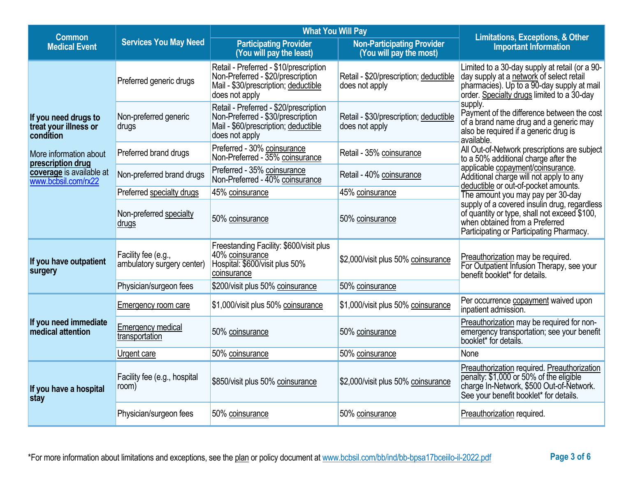| <b>Common</b>                                              |                                                   | <b>What You Will Pay</b><br><b>Non-Participating Provider</b><br><b>Participating Provider</b><br>(You will pay the least)<br>(You will pay the most) |                                                          | <b>Limitations, Exceptions, &amp; Other</b><br><b>Important Information</b>                                                                                                            |  |
|------------------------------------------------------------|---------------------------------------------------|-------------------------------------------------------------------------------------------------------------------------------------------------------|----------------------------------------------------------|----------------------------------------------------------------------------------------------------------------------------------------------------------------------------------------|--|
| <b>Medical Event</b>                                       | <b>Services You May Need</b>                      |                                                                                                                                                       |                                                          |                                                                                                                                                                                        |  |
|                                                            | Preferred generic drugs                           | Retail - Preferred - \$10/prescription<br>Non-Preferred - \$20/prescription<br>Mail - \$30/prescription; deductible<br>does not apply                 | Retail - \$20/prescription; deductible<br>does not apply | Limited to a 30-day supply at retail (or a 90-<br>day supply at a network of select retail<br>pharmacies). Up to a 90-day supply at mail<br>order. Specialty drugs limited to a 30-day |  |
| If you need drugs to<br>treat your illness or<br>condition | Non-preferred generic<br>drugs                    | Retail - Preferred - \$20/prescription<br>Non-Preferred - \$30/prescription<br>Mail - \$60/prescription; deductible<br>does not apply                 | Retail - \$30/prescription; deductible<br>does not apply | supply.<br>Payment of the difference between the cost<br>of a brand name drug and a generic may<br>also be required if a generic drug is<br>available.                                 |  |
| More information about<br>prescription drug                | Preferred brand drugs                             | Preferred - 30% coinsurance<br>Non-Preferred - 35% coinsurance                                                                                        | Retail - 35% coinsurance                                 | All Out-of-Network prescriptions are subject<br>to a 50% additional charge after the                                                                                                   |  |
| coverage is available at<br>www.bcbsil.com/rx22            | Non-preferred brand drugs                         | Preferred - 35% coinsurance<br>Non-Preferred - 40% coinsurance                                                                                        | Retail - 40% coinsurance                                 | applicable copayment/coinsurance.<br>Additional charge will not apply to any<br>deductible or out-of-pocket amounts.                                                                   |  |
|                                                            | Preferred specialty drugs                         | 45% coinsurance                                                                                                                                       | 45% coinsurance                                          | The amount you may pay per 30-day                                                                                                                                                      |  |
|                                                            | Non-preferred specialty<br>drugs                  | 50% coinsurance                                                                                                                                       | 50% coinsurance                                          | supply of a covered insulin drug, regardless<br>of quantity or type, shall not exceed \$100,<br>when obtained from a Preferred<br>Participating or Participating Pharmacy.             |  |
| If you have outpatient<br>surgery                          | Facility fee (e.g.,<br>ambulatory surgery center) | Freestanding Facility: \$600/visit plus<br>40% coinsurance<br>Hospital: \$600/visit plus 50%<br>coinsurance                                           | \$2,000/visit plus 50% coinsurance                       | Preauthorization may be required.<br>For Outpatient Infusion Therapy, see your<br>benefit booklet* for details.                                                                        |  |
|                                                            | Physician/surgeon fees                            | \$200/visit plus 50% coinsurance                                                                                                                      | 50% coinsurance                                          |                                                                                                                                                                                        |  |
|                                                            | <b>Emergency room care</b>                        | \$1,000/visit plus 50% coinsurance                                                                                                                    | \$1,000/visit plus 50% coinsurance                       | Per occurrence copayment waived upon<br>inpatient admission.                                                                                                                           |  |
| If you need immediate<br>medical attention                 | <b>Emergency medical</b><br>transportation        | 50% coinsurance                                                                                                                                       | 50% coinsurance                                          | Preauthorization may be required for non-<br>emergency transportation; see your benefit<br>booklet* for details.                                                                       |  |
|                                                            | Urgent care                                       | 50% coinsurance                                                                                                                                       | 50% coinsurance                                          | None                                                                                                                                                                                   |  |
| If you have a hospital<br>stay                             | Facility fee (e.g., hospital<br>room)             | \$850/visit plus 50% coinsurance                                                                                                                      | \$2,000/visit plus 50% coinsurance                       | Preauthorization required. Preauthorization<br>penalty: \$1,000 or 50% of the eligible<br>charge In-Network, \$500 Out-of-Network.<br>See your benefit booklet* for details.           |  |
|                                                            | Physician/surgeon fees                            | 50% coinsurance                                                                                                                                       | 50% coinsurance                                          | Preauthorization required.                                                                                                                                                             |  |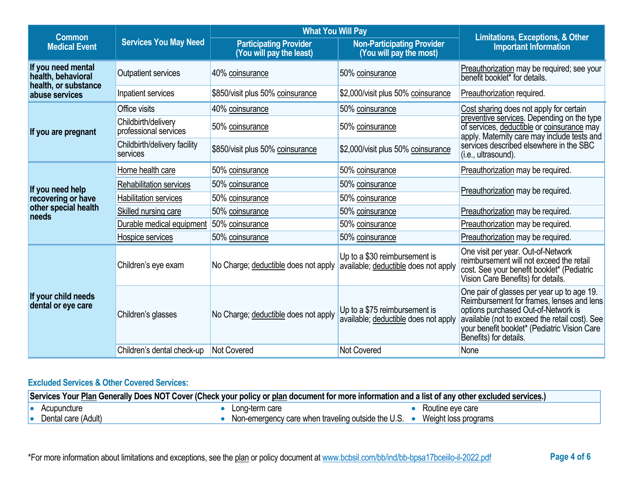| <b>Common</b>                                        |                                              | <b>What You Will Pay</b>                                  |                                                                       |                                                                                                                                                                                                                                                            |  |
|------------------------------------------------------|----------------------------------------------|-----------------------------------------------------------|-----------------------------------------------------------------------|------------------------------------------------------------------------------------------------------------------------------------------------------------------------------------------------------------------------------------------------------------|--|
| <b>Services You May Need</b><br><b>Medical Event</b> |                                              | <b>Participating Provider</b><br>(You will pay the least) | <b>Non-Participating Provider</b><br>(You will pay the most)          | <b>Limitations, Exceptions, &amp; Other</b><br><b>Important Information</b>                                                                                                                                                                                |  |
| If you need mental<br>health, behavioral             | <b>Outpatient services</b>                   | 40% coinsurance                                           | 50% coinsurance                                                       | Preauthorization may be required; see your<br>benefit booklet* for details.                                                                                                                                                                                |  |
| health, or substance<br>abuse services               | Inpatient services                           | \$850/visit plus 50% coinsurance                          | \$2,000/visit plus 50% coinsurance                                    | Preauthorization required.                                                                                                                                                                                                                                 |  |
|                                                      | Office visits                                | 40% coinsurance                                           | 50% coinsurance                                                       | Cost sharing does not apply for certain                                                                                                                                                                                                                    |  |
| If you are pregnant                                  | Childbirth/delivery<br>professional services | 50% coinsurance                                           | 50% coinsurance                                                       | preventive services. Depending on the type<br>of services, deductible or coinsurance may<br>apply. Maternity care may include tests and                                                                                                                    |  |
|                                                      | Childbirth/delivery facility<br>services     | \$850/visit plus 50% coinsurance                          | \$2,000/visit plus 50% coinsurance                                    | services described elsewhere in the SBC<br>(i.e., ultrasound).                                                                                                                                                                                             |  |
|                                                      | Home health care                             | 50% coinsurance                                           | 50% coinsurance                                                       | Preauthorization may be required.                                                                                                                                                                                                                          |  |
| If you need help                                     | Rehabilitation services                      | 50% coinsurance                                           | 50% coinsurance                                                       | Preauthorization may be required.                                                                                                                                                                                                                          |  |
| recovering or have                                   | <b>Habilitation services</b>                 | 50% coinsurance                                           | 50% coinsurance                                                       |                                                                                                                                                                                                                                                            |  |
| other special health<br>needs                        | Skilled nursing care                         | 50% coinsurance                                           | 50% coinsurance                                                       | Preauthorization may be required.                                                                                                                                                                                                                          |  |
|                                                      | Durable medical equipment                    | 50% coinsurance                                           | 50% coinsurance                                                       | Preauthorization may be required.                                                                                                                                                                                                                          |  |
|                                                      | Hospice services                             | 50% coinsurance                                           | 50% coinsurance                                                       | Preauthorization may be required.                                                                                                                                                                                                                          |  |
|                                                      | Children's eye exam                          | No Charge; deductible does not apply                      | Up to a \$30 reimbursement is<br>available; deductible does not apply | One visit per year. Out-of-Network<br>reimbursement will not exceed the retail<br>cost. See your benefit booklet* (Pediatric<br>Vision Care Benefits) for details.                                                                                         |  |
| If your child needs<br>dental or eye care            | Children's glasses                           | No Charge; deductible does not apply                      | Up to a \$75 reimbursement is<br>available; deductible does not apply | One pair of glasses per year up to age 19.<br>Reimbursement for frames, lenses and lens<br>options purchased Out-of-Network is<br>available (not to exceed the retail cost). See<br>your benefit booklet* (Pediatric Vision Care<br>Benefits) for details. |  |
|                                                      | Children's dental check-up                   | <b>Not Covered</b>                                        | Not Covered                                                           | None                                                                                                                                                                                                                                                       |  |

# **Excluded Services & Other Covered Services:**

| Services Your Plan Generally Does NOT Cover (Check your policy or plan document for more information and a list of any other excluded services.) |                                                    |                      |  |
|--------------------------------------------------------------------------------------------------------------------------------------------------|----------------------------------------------------|----------------------|--|
| Acupuncture                                                                                                                                      | Long-term care                                     | Routine eye care     |  |
| Dental care (Adult)                                                                                                                              | Non-emergency care when traveling outside the U.S. | Weight loss programs |  |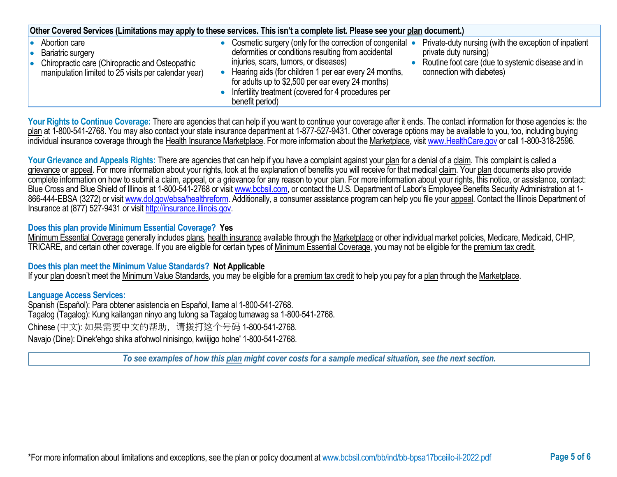| Other Covered Services (Limitations may apply to these services. This isn't a complete list. Please see your plan document.)                         |  |                                                                                                                                                                                                                                                                                                                                                   |  |                                                                                                                                                                  |  |
|------------------------------------------------------------------------------------------------------------------------------------------------------|--|---------------------------------------------------------------------------------------------------------------------------------------------------------------------------------------------------------------------------------------------------------------------------------------------------------------------------------------------------|--|------------------------------------------------------------------------------------------------------------------------------------------------------------------|--|
| Abortion care<br><b>Bariatric surgery</b><br>Chiropractic care (Chiropractic and Osteopathic<br>manipulation limited to 25 visits per calendar year) |  | Cosmetic surgery (only for the correction of congenital •<br>deformities or conditions resulting from accidental<br>injuries, scars, tumors, or diseases)<br>Hearing aids (for children 1 per ear every 24 months,<br>for adults up to \$2,500 per ear every 24 months)<br>Infertility treatment (covered for 4 procedures per<br>benefit period) |  | Private-duty nursing (with the exception of inpatient<br>private duty nursing)<br>Routine foot care (due to systemic disease and in<br>connection with diabetes) |  |

Your Rights to Continue Coverage: There are agencies that can help if you want to continue your coverage after it ends. The contact information for those agencies is: the plan at 1-800-541-2768. You may also contact your state insurance department at 1-877-527-9431. Other coverage options may be available to you, too, including buying individual insurance coverage through the Health Insurance Marketplace. For more information about the Marketplace, visi[t www.HealthCare.gov](http://www.healthcare.gov/) or call 1-800-318-2596.

Your Grievance and Appeals Rights: There are agencies that can help if you have a complaint against your plan for a denial of a claim. This complaint is called a grievance or appeal. For more information about your rights, look at the explanation of benefits you will receive for that medical claim. Your plan documents also provide complete information on how to submit a claim, appeal, or a grievance for any reason to your plan. For more information about your rights, this notice, or assistance, contact: Blue Cross and Blue Shield of Illinois at 1-800-541-2768 or visit [www.bcbsil.com,](http://www.bcbsil.com/) or contact the U.S. Department of Labor's Employee Benefits Security Administration at 1866-444-EBSA (3272) or visit [www.dol.gov/ebsa/healthreform.](http://www.dol.gov/ebsa/healthreform) Additionally, a consumer assistance program can help you file your appeal. Contact the Illinois Department of Insurance at (877) 527-9431 or visi[t http://insurance.illinois.gov.](http://insurance.illinois.gov/)

### **Does this plan provide Minimum Essential Coverage? Yes**

Minimum Essential Coverage generally includes plans, health insurance available through the Marketplace or other individual market policies, Medicare, Medicaid, CHIP, TRICARE, and certain other coverage. If you are eligible for certain types of Minimum Essential Coverage, you may not be eligible for the premium tax credit.

#### **Does this plan meet the Minimum Value Standards? Not Applicable**

If your plan doesn't meet the Minimum Value Standards, you may be eligible for a premium tax credit to help you pay for a plan through the Marketplace.

#### **Language Access Services:**

Spanish (Español): Para obtener asistencia en Español, llame al 1-800-541-2768. Tagalog (Tagalog): Kung kailangan ninyo ang tulong sa Tagalog tumawag sa 1-800-541-2768. Chinese (中文): 如果需要中文的帮助,请拨打这个号码 1-800-541-2768. Navajo (Dine): Dinek'ehgo shika at'ohwol ninisingo, kwiijigo holne' 1-800-541-2768.

*To see examples of how this plan might cover costs for a sample medical situation, see the next section.*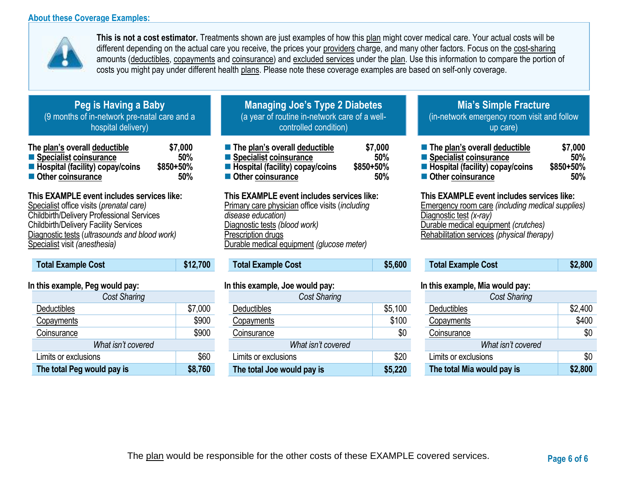### **About these Coverage Examples:**



**This is not a cost estimator.** Treatments shown are just examples of how this plan might cover medical care. Your actual costs will be different depending on the actual care you receive, the prices your providers charge, and many other factors. Focus on the cost-sharing amounts (deductibles, copayments and coinsurance) and excluded services under the plan. Use this information to compare the portion of costs you might pay under different health plans. Please note these coverage examples are based on self-only coverage.

# **Peg is Having a Baby** (9 months of in-network pre-natal care and a hospital delivery)

| The plan's overall deductible                  | \$7,000   |
|------------------------------------------------|-----------|
| ■ Specialist coinsurance                       | 50%       |
| $\blacksquare$ Hospital (facility) copay/coins | \$850+50% |
| ■ Other coinsurance                            | 50%       |

## **This EXAMPLE event includes services like:**

Specialist office visits (*prenatal care)* Childbirth/Delivery Professional Services Childbirth/Delivery Facility Services Diagnostic tests (*ultrasounds and blood work)* Specialist visit *(anesthesia)* 

# **Total Example Cost \$12,700**

### **In this example, Peg would pay:**

| <b>Cost Sharing</b>        |         |
|----------------------------|---------|
| Deductibles                | \$7,000 |
| Copayments                 | \$900   |
| Coinsurance                | \$900   |
| What isn't covered         |         |
| Limits or exclusions       | \$60    |
| The total Peg would pay is | \$8,760 |

# **Managing Joe's Type 2 Diabetes** (a year of routine in-network care of a wellcontrolled condition)

| ■ The plan's overall deductible   | \$7,000   |
|-----------------------------------|-----------|
| Specialist coinsurance            | 50%       |
| ■ Hospital (facility) copay/coins | \$850+50% |
| ■ Other coinsurance               | 50%       |

### **This EXAMPLE event includes services like:**

Primary care physician office visits (*including disease education)* Diagnostic tests *(blood work)* Prescription drugs Durable medical equipment *(glucose meter)* 

## **Total Example Cost \$5,600**

### **In this example, Joe would pay:**

| Cost Sharing               |         |
|----------------------------|---------|
| Deductibles                | \$5,100 |
| Copayments                 | \$100   |
| Coinsurance                | \$0     |
| What isn't covered         |         |
| Limits or exclusions       | \$20    |
| The total Joe would pay is | \$5,220 |

# **Mia's Simple Fracture** (in-network emergency room visit and follow up care)

| ■ The plan's overall deductible   | \$7,000   |
|-----------------------------------|-----------|
| ■ Specialist coinsurance          | 50%       |
| ■ Hospital (facility) copay/coins | \$850+50% |
| ■ Other coinsurance               | 50%       |

#### **This EXAMPLE event includes services like:**

Emergency room care *(including medical supplies)* Diagnostic test *(x-ray)* Durable medical equipment *(crutches)* Rehabilitation services *(physical therapy)*

| <b>Total Example Cost</b> | \$2,800 |
|---------------------------|---------|
|---------------------------|---------|

#### **In this example, Mia would pay:**

| <b>Cost Sharing</b>        |         |  |
|----------------------------|---------|--|
| Deductibles                | \$2,400 |  |
| Copayments                 | \$400   |  |
| Coinsurance                | \$0     |  |
| What isn't covered         |         |  |
| Limits or exclusions       | \$0     |  |
| The total Mia would pay is | \$2,800 |  |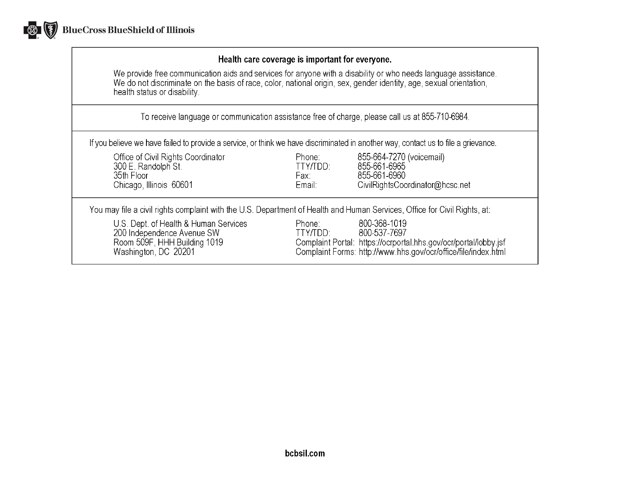

### Health care coverage is important for everyone.

We provide free communication aids and services for anyone with a disability or who needs language assistance.<br>We do not discriminate on the basis of race, color, national origin, sex, gender identity, age, sexual orientat health status or disability.

To receive language or communication assistance free of charge, please call us at 855-710-6984.

If you believe we have failed to provide a service, or think we have discriminated in another way, contact us to file a grievance.

| Office of Civil Rights Coordinator<br>300 E. Randolph St.<br>35th Floor<br>Chicago, Illinois 60601                          | Phone:<br>TTY/TDD:<br>Fax:<br>Email: | 855-664-7270 (voicemail)<br>855-661-6965<br>855-661-6960<br>CivilRightsCoordinator@hcsc.net                                                                        |
|-----------------------------------------------------------------------------------------------------------------------------|--------------------------------------|--------------------------------------------------------------------------------------------------------------------------------------------------------------------|
| You may file a civil rights complaint with the U.S. Department of Health and Human Services, Office for Civil Rights, at:   |                                      |                                                                                                                                                                    |
| U.S. Dept. of Health & Human Services<br>200 Independence Avenue SW<br>Room 509F, HHH Building 1019<br>Washington, DC 20201 | Phone:<br>TTY/TDD:                   | 800-368-1019<br>800-537-7697<br>Complaint Portal: https://ocrportal.hhs.gov/ocr/portal/lobby.jsf<br>Complaint Forms: http://www.hhs.gov/ocr/office/file/index.html |